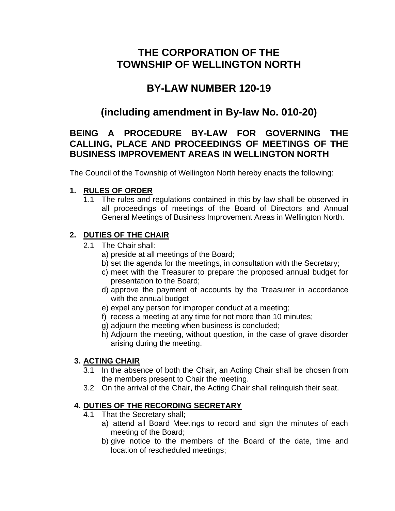## **THE CORPORATION OF THE TOWNSHIP OF WELLINGTON NORTH**

# **BY-LAW NUMBER 120-19**

# **(including amendment in By-law No. 010-20)**

## **BEING A PROCEDURE BY-LAW FOR GOVERNING THE CALLING, PLACE AND PROCEEDINGS OF MEETINGS OF THE BUSINESS IMPROVEMENT AREAS IN WELLINGTON NORTH**

The Council of the Township of Wellington North hereby enacts the following:

#### **1. RULES OF ORDER**

1.1 The rules and regulations contained in this by-law shall be observed in all proceedings of meetings of the Board of Directors and Annual General Meetings of Business Improvement Areas in Wellington North.

## **2. DUTIES OF THE CHAIR**

- 2.1 The Chair shall:
	- a) preside at all meetings of the Board;
	- b) set the agenda for the meetings, in consultation with the Secretary;
	- c) meet with the Treasurer to prepare the proposed annual budget for presentation to the Board;
	- d) approve the payment of accounts by the Treasurer in accordance with the annual budget
	- e) expel any person for improper conduct at a meeting;
	- f) recess a meeting at any time for not more than 10 minutes;
	- g) adjourn the meeting when business is concluded;
	- h) Adjourn the meeting, without question, in the case of grave disorder arising during the meeting.

## **3. ACTING CHAIR**

- 3.1 In the absence of both the Chair, an Acting Chair shall be chosen from the members present to Chair the meeting.
- 3.2 On the arrival of the Chair, the Acting Chair shall relinquish their seat.

## **4. DUTIES OF THE RECORDING SECRETARY**

- 4.1 That the Secretary shall;
	- a) attend all Board Meetings to record and sign the minutes of each meeting of the Board;
	- b) give notice to the members of the Board of the date, time and location of rescheduled meetings;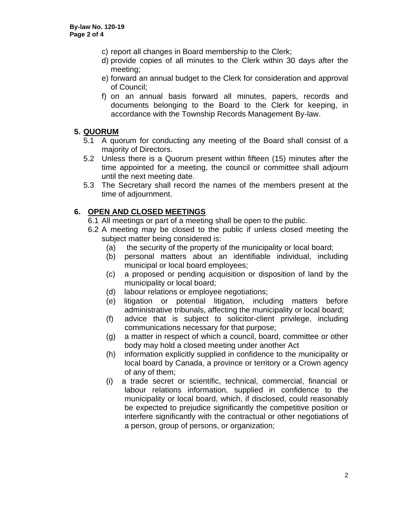- c) report all changes in Board membership to the Clerk;
- d) provide copies of all minutes to the Clerk within 30 days after the meeting;
- e) forward an annual budget to the Clerk for consideration and approval of Council;
- f) on an annual basis forward all minutes, papers, records and documents belonging to the Board to the Clerk for keeping, in accordance with the Township Records Management By-law.

#### **5. QUORUM**

- 5.1 A quorum for conducting any meeting of the Board shall consist of a majority of Directors.
- 5.2 Unless there is a Quorum present within fifteen (15) minutes after the time appointed for a meeting, the council or committee shall adjourn until the next meeting date.
- 5.3 The Secretary shall record the names of the members present at the time of adjournment.

#### **6. OPEN AND CLOSED MEETINGS**

- 6.1 All meetings or part of a meeting shall be open to the public.
- 6.2 A meeting may be closed to the public if unless closed meeting the subject matter being considered is:
	- (a) the security of the property of the municipality or local board;
	- (b) personal matters about an identifiable individual, including municipal or local board employees;
	- (c) a proposed or pending acquisition or disposition of land by the municipality or local board;
	- (d) labour relations or employee negotiations;
	- (e) litigation or potential litigation, including matters before administrative tribunals, affecting the municipality or local board;
	- (f) advice that is subject to solicitor-client privilege, including communications necessary for that purpose;
	- (g) a matter in respect of which a council, board, committee or other body may hold a closed meeting under another Act
	- (h) information explicitly supplied in confidence to the municipality or local board by Canada, a province or territory or a Crown agency of any of them;
	- (i) a trade secret or scientific, technical, commercial, financial or labour relations information, supplied in confidence to the municipality or local board, which, if disclosed, could reasonably be expected to prejudice significantly the competitive position or interfere significantly with the contractual or other negotiations of a person, group of persons, or organization;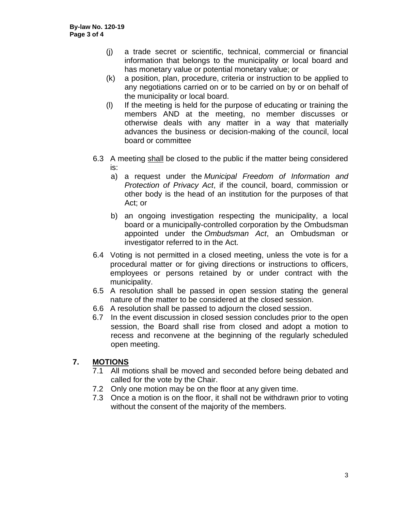- (j) a trade secret or scientific, technical, commercial or financial information that belongs to the municipality or local board and has monetary value or potential monetary value; or
- (k) a position, plan, procedure, criteria or instruction to be applied to any negotiations carried on or to be carried on by or on behalf of the municipality or local board.
- (l) If the meeting is held for the purpose of educating or training the members AND at the meeting, no member discusses or otherwise deals with any matter in a way that materially advances the business or decision-making of the council, local board or committee
- 6.3 A meeting shall be closed to the public if the matter being considered is:
	- a) a request under the *Municipal Freedom of Information and Protection of Privacy Act*, if the council, board, commission or other body is the head of an institution for the purposes of that Act; or
	- b) an ongoing investigation respecting the municipality, a local board or a municipally-controlled corporation by the Ombudsman appointed under the *Ombudsman Act*, an Ombudsman or investigator referred to in the Act.
- 6.4 Voting is not permitted in a closed meeting, unless the vote is for a procedural matter or for giving directions or instructions to officers, employees or persons retained by or under contract with the municipality.
- 6.5 A resolution shall be passed in open session stating the general nature of the matter to be considered at the closed session.
- 6.6 A resolution shall be passed to adjourn the closed session.
- 6.7 In the event discussion in closed session concludes prior to the open session, the Board shall rise from closed and adopt a motion to recess and reconvene at the beginning of the regularly scheduled open meeting.

## **7. MOTIONS**

- 7.1 All motions shall be moved and seconded before being debated and called for the vote by the Chair.
- 7.2 Only one motion may be on the floor at any given time.
- 7.3 Once a motion is on the floor, it shall not be withdrawn prior to voting without the consent of the majority of the members.